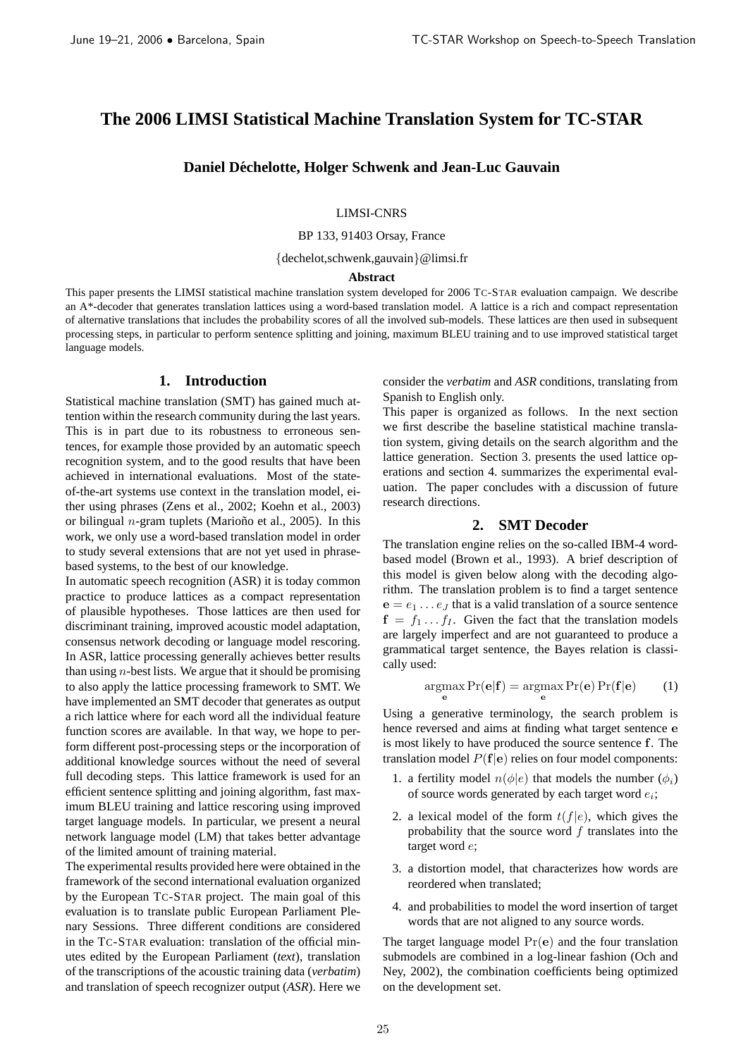# **The 2006 LIMSI Statistical Machine Translation System for TC-STAR**

**Daniel Dechelotte, Holger Schwenk and Jean-Luc Gauvain ´**

LIMSI-CNRS

BP 133, 91403 Orsay, France

{dechelot,schwenk,gauvain}@limsi.fr

#### **Abstract**

This paper presents the LIMSI statistical machine translation system developed for 2006 TC-STAR evaluation campaign. We describe an A\*-decoder that generates translation lattices using a word-based translation model. A lattice is a rich and compact representation of alternative translations that includes the probability scores of all the involved sub-models. These lattices are then used in subsequent processing steps, in particular to perform sentence splitting and joining, maximum BLEU training and to use improved statistical target language models.

## **1. Introduction**

Statistical machine translation (SMT) has gained much attention within the research community during the last years. This is in part due to its robustness to erroneous sentences, for example those provided by an automatic speech recognition system, and to the good results that have been achieved in international evaluations. Most of the stateof-the-art systems use context in the translation model, either using phrases (Zens et al., 2002; Koehn et al., 2003) or bilingual *n*-gram tuplets (Mariono et al., 2005). In this work, we only use a word-based translation model in order to study several extensions that are not yet used in phrasebased systems, to the best of our knowledge.

In automatic speech recognition (ASR) it is today common practice to produce lattices as a compact representation of plausible hypotheses. Those lattices are then used for discriminant training, improved acoustic model adaptation, consensus network decoding or language model rescoring. In ASR, lattice processing generally achieves better results than using  $n$ -best lists. We argue that it should be promising to also apply the lattice processing framework to SMT. We have implemented an SMT decoder that generates as output a rich lattice where for each word all the individual feature function scores are available. In that way, we hope to perform different post-processing steps or the incorporation of additional knowledge sources without the need of several full decoding steps. This lattice framework is used for an efficient sentence splitting and joining algorithm, fast maximum BLEU training and lattice rescoring using improved target language models. In particular, we present a neural network language model (LM) that takes better advantage of the limited amount of training material.

The experimental results provided here were obtained in the framework of the second international evaluation organized by the European TC-STAR project. The main goal of this evaluation is to translate public European Parliament Plenary Sessions. Three different conditions are considered in the TC-STAR evaluation: translation of the official minutes edited by the European Parliament (*text*), translation of the transcriptions of the acoustic training data (*verbatim*) and translation of speech recognizer output (*ASR*). Here we consider the *verbatim* and *ASR* conditions, translating from Spanish to English only.

This paper is organized as follows. In the next section we first describe the baseline statistical machine translation system, giving details on the search algorithm and the lattice generation. Section 3. presents the used lattice operations and section 4. summarizes the experimental evaluation. The paper concludes with a discussion of future research directions.

### **2. SMT Decoder**

The translation engine relies on the so-called IBM-4 wordbased model (Brown et al., 1993). A brief description of this model is given below along with the decoding algorithm. The translation problem is to find a target sentence  $e = e_1 \dots e_J$  that is a valid translation of a source sentence  $f = f_1 \dots f_I$ . Given the fact that the translation models are largely imperfect and are not guaranteed to produce a grammatical target sentence, the Bayes relation is classically used:

$$
\underset{\mathbf{e}}{\operatorname{argmax}} \Pr(\mathbf{e}|\mathbf{f}) = \underset{\mathbf{e}}{\operatorname{argmax}} \Pr(\mathbf{e}) \Pr(\mathbf{f}|\mathbf{e}) \qquad (1)
$$

Using a generative terminology, the search problem is hence reversed and aims at finding what target sentence e is most likely to have produced the source sentence f. The translation model  $P(f|e)$  relies on four model components:

- 1. a fertility model  $n(\phi|e)$  that models the number  $(\phi_i)$ of source words generated by each target word  $e_i$ ;
- 2. a lexical model of the form  $t(f|e)$ , which gives the probability that the source word  $f$  translates into the target word e;
- 3. a distortion model, that characterizes how words are reordered when translated;
- 4. and probabilities to model the word insertion of target words that are not aligned to any source words.

The target language model  $Pr(e)$  and the four translation submodels are combined in a log-linear fashion (Och and Ney, 2002), the combination coefficients being optimized on the development set.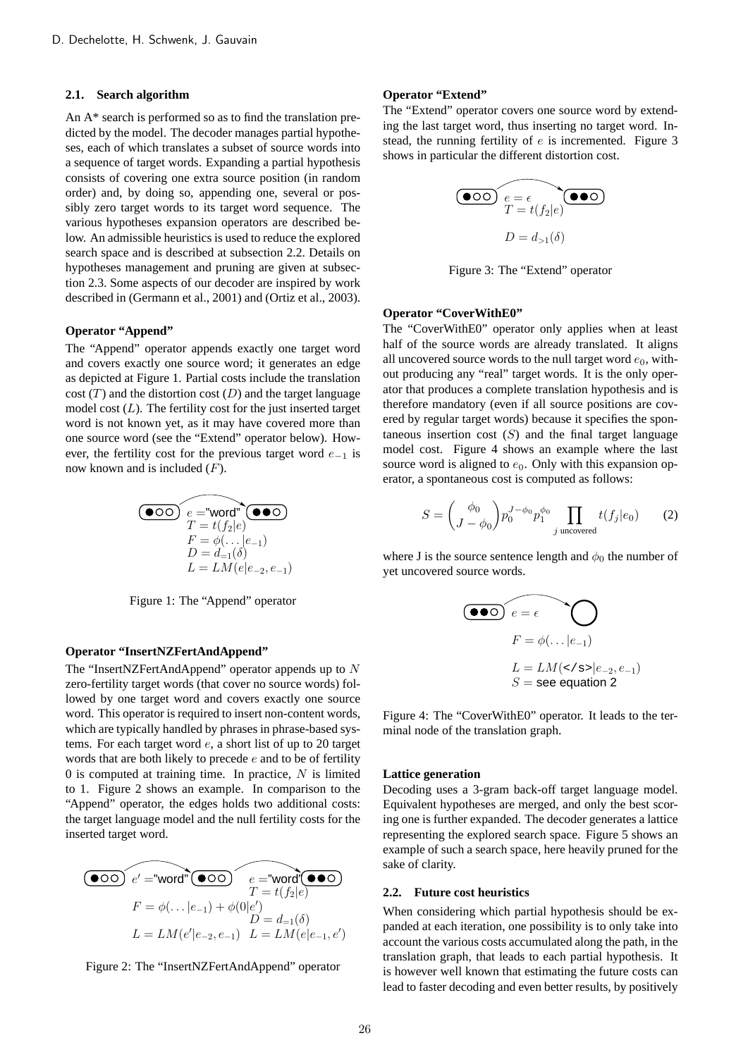#### **2.1. Search algorithm**

An A\* search is performed so as to find the translation predicted by the model. The decoder manages partial hypotheses, each of which translates a subset of source words into a sequence of target words. Expanding a partial hypothesis consists of covering one extra source position (in random order) and, by doing so, appending one, several or possibly zero target words to its target word sequence. The various hypotheses expansion operators are described below. An admissible heuristics is used to reduce the explored search space and is described at subsection 2.2. Details on hypotheses management and pruning are given at subsection 2.3. Some aspects of our decoder are inspired by work described in (Germann et al., 2001) and (Ortiz et al., 2003).

### **Operator "Append"**

The "Append" operator appends exactly one target word and covers exactly one source word; it generates an edge as depicted at Figure 1. Partial costs include the translation  $cost(T)$  and the distortion cost (D) and the target language model cost  $(L)$ . The fertility cost for the just inserted target word is not known yet, as it may have covered more than one source word (see the "Extend" operator below). However, the fertility cost for the previous target word  $e_{-1}$  is now known and is included  $(F)$ .

$$
\begin{array}{c}\n\textcircled{\hspace{1em}}\textcircled{\hspace{1em}}\textcircled{\hspace{1em}}\textcircled{\hspace{1em}}\textcircled{\hspace{1em}}\textcircled{\hspace{1em}}\textcircled{\hspace{1em}}\textcircled{\hspace{1em}} \\
\textcircled{\hspace{1em}}\textcircled{\hspace{1em}}\textcircled{\hspace{1em}}\textcircled{\hspace{1em}}\textcircled{\hspace{1em}}\textcircled{\hspace{1em}} \\
T = t(f_2|e) \\
F = \phi(\dots|e_{-1}) \\
D = d_{-1}(\delta) \\
L = LM(e|e_{-2}, e_{-1})\n\end{array}
$$

Figure 1: The "Append" operator

### **Operator "InsertNZFertAndAppend"**

The "InsertNZFertAndAppend" operator appends up to N zero-fertility target words (that cover no source words) followed by one target word and covers exactly one source word. This operator is required to insert non-content words, which are typically handled by phrases in phrase-based systems. For each target word e, a short list of up to 20 target words that are both likely to precede  $e$  and to be of fertility 0 is computed at training time. In practice,  $N$  is limited to 1. Figure 2 shows an example. In comparison to the "Append" operator, the edges holds two additional costs: the target language model and the null fertility costs for the inserted target word.

$$
\begin{array}{c}\n\textcircled{\hspace{1em}}\textcircled{\hspace{1em}}\textcircled{\hspace{1em}}\textcircled{\hspace{1em}}\textcircled{\hspace{1em}}\textcircled{\hspace{1em}}\textcircled{\hspace{1em}}\textcircled{\hspace{1em}}\textcircled{\hspace{1em}}\textcircled{\hspace{1em}}\textcircled{\hspace{1em}}\textcircled{\hspace{1em}}\textcircled{\hspace{1em}}\textcircled{\hspace{1em}}\textcircled{\hspace{1em}}\textcircled{\hspace{1em}}\textcircled{\hspace{1em}}\textcircled{\hspace{1em}}\textcircled{\hspace{1em}}\textcircled{\hspace{1em}}\textcircled{\hspace{1em}}\textcircled{\hspace{1em}}\textcircled{\hspace{1em}}\textcircled{\hspace{1em}}\textcircled{\hspace{1em}}\textcircled{\hspace{1em}}\textcircled{\hspace{1em}}\textcircled{\hspace{1em}}\textcircled{\hspace{1em}}\textcircled{\hspace{1em}}\textcircled{\hspace{1em}}\textcircled{\hspace{1em}}\textcircled{\hspace{1em}}\textcircled{\hspace{1em}}\textcircled{\hspace{1em}}\textcircled{\hspace{1em}}\textcircled{\hspace{1em}}\textcircled{\hspace{1em}}\textcircled{\hspace{1em}}\textcircled{\hspace{1em}}\textcircled{\hspace{1em}}\textcircled{\hspace{1em}}\textcircled{\hspace{1em}}\textcircled{\hspace{1em}}\textcircled{\hspace{1em}}\textcircled{\hspace{1em}}\textcircled{\hspace{1em}}\textcircled{\hspace{1em}}\textcircled{\hspace{1em}}\textcircled{\hspace{1em}}\textcircled{\hspace{1em}}\textcircled{\hspace{1em}}\textcircled{\hspace{1em}}\textcircled{\hspace{1em}}\textcircled{\hspace{1em}}\textcircled{\hspace{1em}}\textcircled{\hspace{1em}}\textcircled{\hspace{1em}}\textcircled{\hspace{1em}}\textcircled{\hspace{1em}}\textcircled{\hspace{1em}}\textcircled{\hspace{1em}}\textcircled{\hspace{1em}}\textcircled{\hspace{1em}}\textcircled{\hspace{1em}}\textcircled{\hspace{1em}}\textcircled{\hspace{1em}}\textcircled{\hspace{1em}}\textcircled
$$

### Figure 2: The "InsertNZFertAndAppend" operator

### **Operator "Extend"**

The "Extend" operator covers one source word by extending the last target word, thus inserting no target word. Instead, the running fertility of e is incremented. Figure 3 shows in particular the different distortion cost.

$$
\begin{array}{c}\n\begin{array}{c}\n\bullet \circ \circ \circ \\
T = t(f_2|e)\n\end{array}\n\end{array}
$$
\n
$$
D = d_{>1}(\delta)
$$

Figure 3: The "Extend" operator

### **Operator "CoverWithE0"**

The "CoverWithE0" operator only applies when at least half of the source words are already translated. It aligns all uncovered source words to the null target word  $e_0$ , without producing any "real" target words. It is the only operator that produces a complete translation hypothesis and is therefore mandatory (even if all source positions are covered by regular target words) because it specifies the spontaneous insertion cost  $(S)$  and the final target language model cost. Figure 4 shows an example where the last source word is aligned to  $e_0$ . Only with this expansion operator, a spontaneous cost is computed as follows:

$$
S = \begin{pmatrix} \phi_0 \\ J - \phi_0 \end{pmatrix} p_0^{J - \phi_0} p_1^{\phi_0} \prod_{j \text{ uncovered}} t(f_j|e_0) \tag{2}
$$

where J is the source sentence length and  $\phi_0$  the number of yet uncovered source words.

$$
\begin{aligned}\n\textbf{(00)} \quad e &= \epsilon \quad \text{or} \\
F &= \phi(\ldots | e_{-1}) \\
L &= LM(<\epsilon s > | e_{-2}, e_{-1}) \\
S &= \text{see equation 2}\n\end{aligned}
$$

Figure 4: The "CoverWithE0" operator. It leads to the terminal node of the translation graph.

#### **Lattice generation**

Decoding uses a 3-gram back-off target language model. Equivalent hypotheses are merged, and only the best scoring one is further expanded. The decoder generates a lattice representing the explored search space. Figure 5 shows an example of such a search space, here heavily pruned for the sake of clarity.

#### **2.2. Future cost heuristics**

When considering which partial hypothesis should be expanded at each iteration, one possibility is to only take into account the various costs accumulated along the path, in the translation graph, that leads to each partial hypothesis. It is however well known that estimating the future costs can lead to faster decoding and even better results, by positively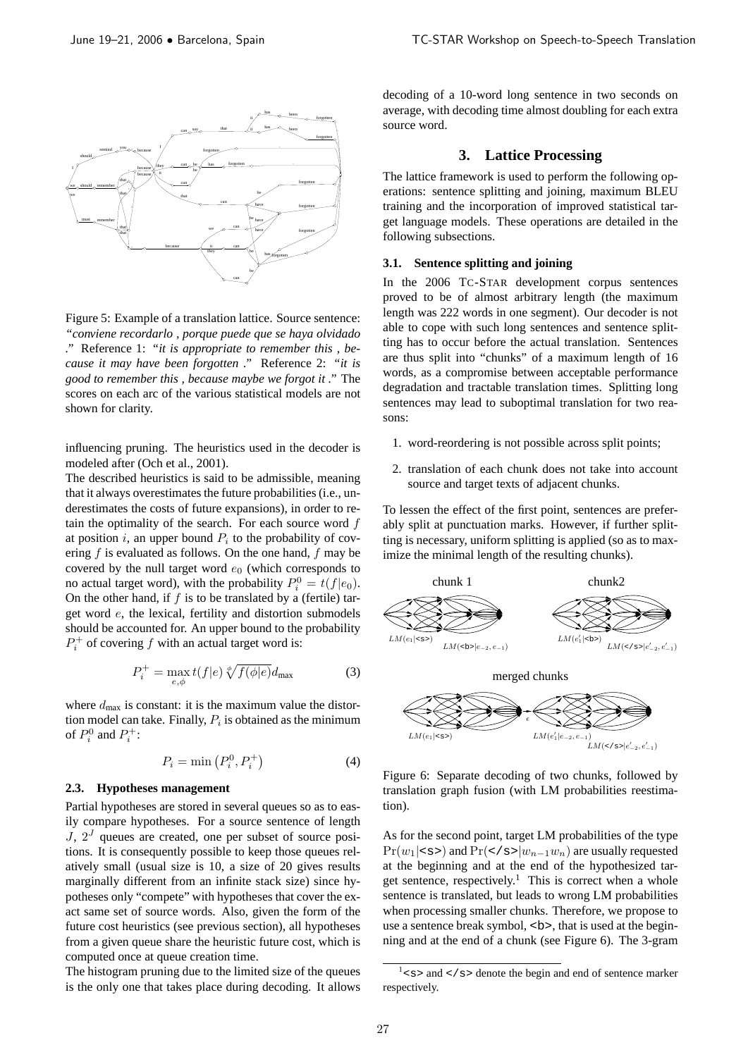

Figure 5: Example of a translation lattice. Source sentence: *"conviene recordarlo , porque puede que se haya olvidado ."* Reference 1: *"it is appropriate to remember this , because it may have been forgotten ."* Reference 2: *"it is good to remember this , because maybe we forgot it ."* The scores on each arc of the various statistical models are not shown for clarity.

influencing pruning. The heuristics used in the decoder is modeled after (Och et al., 2001).

The described heuristics is said to be admissible, meaning that it always overestimates the future probabilities (i.e., underestimates the costs of future expansions), in order to retain the optimality of the search. For each source word  $f$ at position i, an upper bound  $P_i$  to the probability of covering  $f$  is evaluated as follows. On the one hand,  $f$  may be covered by the null target word  $e_0$  (which corresponds to no actual target word), with the probability  $P_i^0 = t(f|e_0)$ . On the other hand, if  $f$  is to be translated by a (fertile) target word e, the lexical, fertility and distortion submodels should be accounted for. An upper bound to the probability  $P_i^+$  of covering f with an actual target word is:

$$
P_i^+ = \max_{e,\phi} t(f|e) \sqrt[\phi]{f(\phi|e)} d_{\text{max}} \tag{3}
$$

where  $d_{\text{max}}$  is constant: it is the maximum value the distortion model can take. Finally,  $P_i$  is obtained as the minimum of  $P_i^0$  and  $P_i^+$ :

$$
P_i = \min\left(P_i^0, P_i^+\right) \tag{4}
$$

### **2.3. Hypotheses management**

Partial hypotheses are stored in several queues so as to easily compare hypotheses. For a source sentence of length  $J$ ,  $2<sup>J</sup>$  queues are created, one per subset of source positions. It is consequently possible to keep those queues relatively small (usual size is 10, a size of 20 gives results marginally different from an infinite stack size) since hypotheses only "compete" with hypotheses that cover the exact same set of source words. Also, given the form of the future cost heuristics (see previous section), all hypotheses from a given queue share the heuristic future cost, which is computed once at queue creation time.

The histogram pruning due to the limited size of the queues is the only one that takes place during decoding. It allows decoding of a 10-word long sentence in two seconds on average, with decoding time almost doubling for each extra source word.

### **3. Lattice Processing**

The lattice framework is used to perform the following operations: sentence splitting and joining, maximum BLEU training and the incorporation of improved statistical target language models. These operations are detailed in the following subsections.

#### **3.1. Sentence splitting and joining**

In the 2006 TC-STAR development corpus sentences proved to be of almost arbitrary length (the maximum length was 222 words in one segment). Our decoder is not able to cope with such long sentences and sentence splitting has to occur before the actual translation. Sentences are thus split into "chunks" of a maximum length of 16 words, as a compromise between acceptable performance degradation and tractable translation times. Splitting long sentences may lead to suboptimal translation for two reasons:

- 1. word-reordering is not possible across split points;
- 2. translation of each chunk does not take into account source and target texts of adjacent chunks.

To lessen the effect of the first point, sentences are preferably split at punctuation marks. However, if further splitting is necessary, uniform splitting is applied (so as to maximize the minimal length of the resulting chunks).





Figure 6: Separate decoding of two chunks, followed by translation graph fusion (with LM probabilities reestimation).

As for the second point, target LM probabilities of the type  $Pr(w_1|<\mathbf{s}>)$  and  $Pr(<\mathbf{s}>|w_{n-1}w_n)$  are usually requested at the beginning and at the end of the hypothesized target sentence, respectively.<sup>1</sup> This is correct when a whole sentence is translated, but leads to wrong LM probabilities when processing smaller chunks. Therefore, we propose to use a sentence break symbol, <b>, that is used at the beginning and at the end of a chunk (see Figure 6). The 3-gram

 $1$ <s> and </s> denote the begin and end of sentence marker respectively.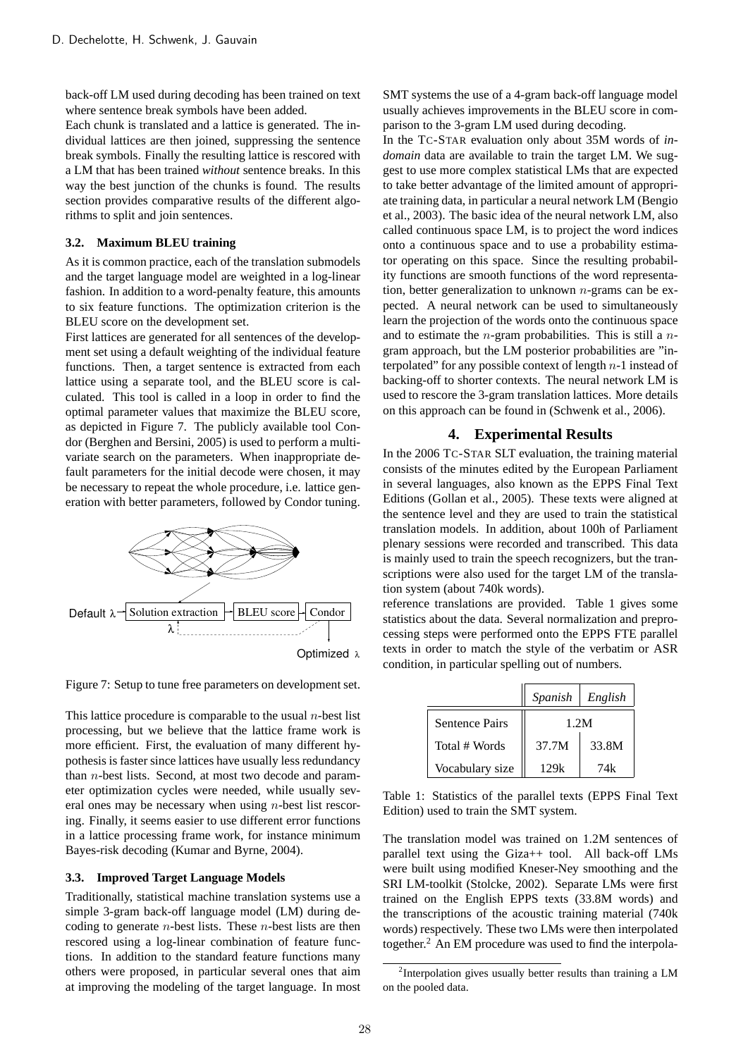back-off LM used during decoding has been trained on text where sentence break symbols have been added.

Each chunk is translated and a lattice is generated. The individual lattices are then joined, suppressing the sentence break symbols. Finally the resulting lattice is rescored with a LM that has been trained *without* sentence breaks. In this way the best junction of the chunks is found. The results section provides comparative results of the different algorithms to split and join sentences.

### **3.2. Maximum BLEU training**

As it is common practice, each of the translation submodels and the target language model are weighted in a log-linear fashion. In addition to a word-penalty feature, this amounts to six feature functions. The optimization criterion is the BLEU score on the development set.

First lattices are generated for all sentences of the development set using a default weighting of the individual feature functions. Then, a target sentence is extracted from each lattice using a separate tool, and the BLEU score is calculated. This tool is called in a loop in order to find the optimal parameter values that maximize the BLEU score, as depicted in Figure 7. The publicly available tool Condor (Berghen and Bersini, 2005) is used to perform a multivariate search on the parameters. When inappropriate default parameters for the initial decode were chosen, it may be necessary to repeat the whole procedure, i.e. lattice generation with better parameters, followed by Condor tuning.



Figure 7: Setup to tune free parameters on development set.

This lattice procedure is comparable to the usual  $n$ -best list processing, but we believe that the lattice frame work is more efficient. First, the evaluation of many different hypothesis is faster since lattices have usually less redundancy than  $n$ -best lists. Second, at most two decode and parameter optimization cycles were needed, while usually several ones may be necessary when using  $n$ -best list rescoring. Finally, it seems easier to use different error functions in a lattice processing frame work, for instance minimum Bayes-risk decoding (Kumar and Byrne, 2004).

### **3.3. Improved Target Language Models**

Traditionally, statistical machine translation systems use a simple 3-gram back-off language model (LM) during decoding to generate  $n$ -best lists. These  $n$ -best lists are then rescored using a log-linear combination of feature functions. In addition to the standard feature functions many others were proposed, in particular several ones that aim at improving the modeling of the target language. In most SMT systems the use of a 4-gram back-off language model usually achieves improvements in the BLEU score in comparison to the 3-gram LM used during decoding.

In the TC-STAR evaluation only about 35M words of *indomain* data are available to train the target LM. We suggest to use more complex statistical LMs that are expected to take better advantage of the limited amount of appropriate training data, in particular a neural network LM (Bengio et al., 2003). The basic idea of the neural network LM, also called continuous space LM, is to project the word indices onto a continuous space and to use a probability estimator operating on this space. Since the resulting probability functions are smooth functions of the word representation, better generalization to unknown  $n$ -grams can be expected. A neural network can be used to simultaneously learn the projection of the words onto the continuous space and to estimate the  $n$ -gram probabilities. This is still a  $n$ gram approach, but the LM posterior probabilities are "interpolated" for any possible context of length  $n-1$  instead of backing-off to shorter contexts. The neural network LM is used to rescore the 3-gram translation lattices. More details on this approach can be found in (Schwenk et al., 2006).

### **4. Experimental Results**

In the 2006 TC-STAR SLT evaluation, the training material consists of the minutes edited by the European Parliament in several languages, also known as the EPPS Final Text Editions (Gollan et al., 2005). These texts were aligned at the sentence level and they are used to train the statistical translation models. In addition, about 100h of Parliament plenary sessions were recorded and transcribed. This data is mainly used to train the speech recognizers, but the transcriptions were also used for the target LM of the translation system (about 740k words).

reference translations are provided. Table 1 gives some statistics about the data. Several normalization and preprocessing steps were performed onto the EPPS FTE parallel texts in order to match the style of the verbatim or ASR condition, in particular spelling out of numbers.

|                       | Spanish | English |
|-----------------------|---------|---------|
| <b>Sentence Pairs</b> | 1.2M    |         |
| Total # Words         | 37.7M   | 33.8M   |
| Vocabulary size       | 129k    | 74k     |

Table 1: Statistics of the parallel texts (EPPS Final Text Edition) used to train the SMT system.

The translation model was trained on 1.2M sentences of parallel text using the Giza++ tool. All back-off LMs were built using modified Kneser-Ney smoothing and the SRI LM-toolkit (Stolcke, 2002). Separate LMs were first trained on the English EPPS texts (33.8M words) and the transcriptions of the acoustic training material (740k words) respectively. These two LMs were then interpolated together.<sup>2</sup> An EM procedure was used to find the interpola-

<sup>&</sup>lt;sup>2</sup>Interpolation gives usually better results than training a LM on the pooled data.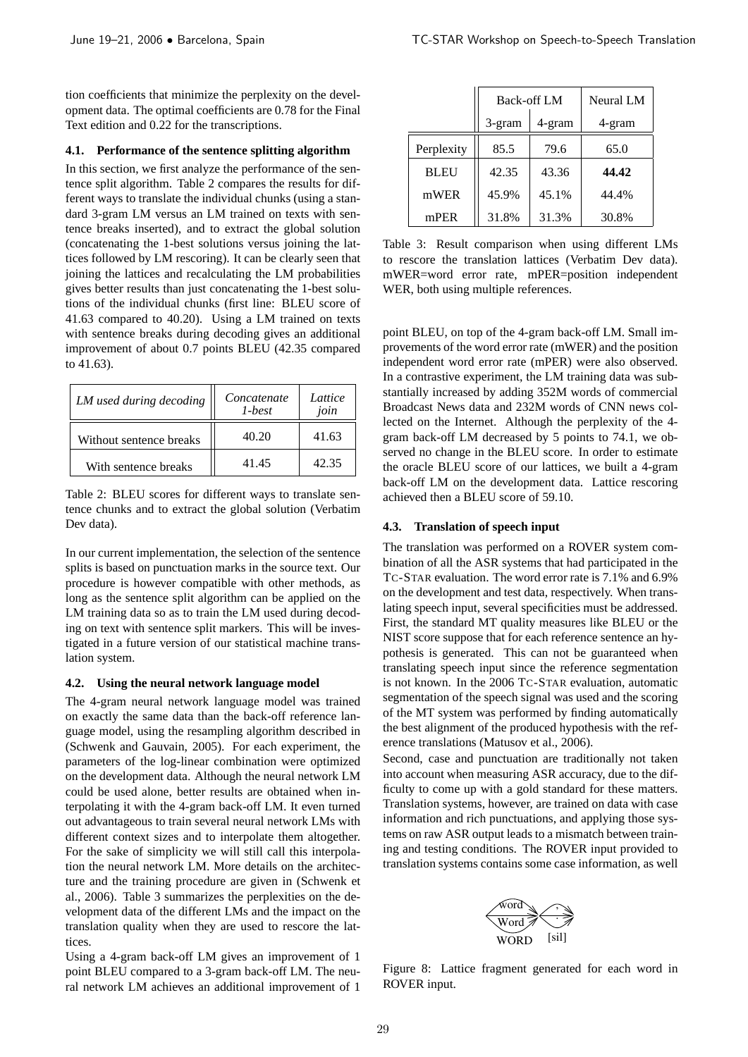tion coefficients that minimize the perplexity on the development data. The optimal coefficients are 0.78 for the Final Text edition and 0.22 for the transcriptions.

#### **4.1. Performance of the sentence splitting algorithm**

In this section, we first analyze the performance of the sentence split algorithm. Table 2 compares the results for different ways to translate the individual chunks (using a standard 3-gram LM versus an LM trained on texts with sentence breaks inserted), and to extract the global solution (concatenating the 1-best solutions versus joining the lattices followed by LM rescoring). It can be clearly seen that joining the lattices and recalculating the LM probabilities gives better results than just concatenating the 1-best solutions of the individual chunks (first line: BLEU score of 41.63 compared to 40.20). Using a LM trained on texts with sentence breaks during decoding gives an additional improvement of about 0.7 points BLEU (42.35 compared to 41.63).

| LM used during decoding | Concatenate<br>$1 - best$ | Lattice<br>join |
|-------------------------|---------------------------|-----------------|
| Without sentence breaks | 40.20                     | 41.63           |
| With sentence breaks    | 41.45                     | 42.35           |

Table 2: BLEU scores for different ways to translate sentence chunks and to extract the global solution (Verbatim Dev data).

In our current implementation, the selection of the sentence splits is based on punctuation marks in the source text. Our procedure is however compatible with other methods, as long as the sentence split algorithm can be applied on the LM training data so as to train the LM used during decoding on text with sentence split markers. This will be investigated in a future version of our statistical machine translation system.

#### **4.2. Using the neural network language model**

The 4-gram neural network language model was trained on exactly the same data than the back-off reference language model, using the resampling algorithm described in (Schwenk and Gauvain, 2005). For each experiment, the parameters of the log-linear combination were optimized on the development data. Although the neural network LM could be used alone, better results are obtained when interpolating it with the 4-gram back-off LM. It even turned out advantageous to train several neural network LMs with different context sizes and to interpolate them altogether. For the sake of simplicity we will still call this interpolation the neural network LM. More details on the architecture and the training procedure are given in (Schwenk et al., 2006). Table 3 summarizes the perplexities on the development data of the different LMs and the impact on the translation quality when they are used to rescore the lattices.

Using a 4-gram back-off LM gives an improvement of 1 point BLEU compared to a 3-gram back-off LM. The neural network LM achieves an additional improvement of 1

|             | <b>Back-off LM</b> |        | Neural LM |
|-------------|--------------------|--------|-----------|
|             | 3-gram             | 4-gram | 4-gram    |
| Perplexity  | 85.5               | 79.6   | 65.0      |
| <b>BLEU</b> | 42.35              | 43.36  | 44.42     |
| mWER        | 45.9%              | 45.1%  | 44.4%     |
| mPER        | 31.8%              | 31.3%  | 30.8%     |

Table 3: Result comparison when using different LMs to rescore the translation lattices (Verbatim Dev data). mWER=word error rate, mPER=position independent WER, both using multiple references.

point BLEU, on top of the 4-gram back-off LM. Small improvements of the word error rate (mWER) and the position independent word error rate (mPER) were also observed. In a contrastive experiment, the LM training data was substantially increased by adding 352M words of commercial Broadcast News data and 232M words of CNN news collected on the Internet. Although the perplexity of the 4 gram back-off LM decreased by 5 points to 74.1, we observed no change in the BLEU score. In order to estimate the oracle BLEU score of our lattices, we built a 4-gram back-off LM on the development data. Lattice rescoring achieved then a BLEU score of 59.10.

### **4.3. Translation of speech input**

The translation was performed on a ROVER system combination of all the ASR systems that had participated in the TC-STAR evaluation. The word error rate is 7.1% and 6.9% on the development and test data, respectively. When translating speech input, several specificities must be addressed. First, the standard MT quality measures like BLEU or the NIST score suppose that for each reference sentence an hypothesis is generated. This can not be guaranteed when translating speech input since the reference segmentation is not known. In the 2006 TC-STAR evaluation, automatic segmentation of the speech signal was used and the scoring of the MT system was performed by finding automatically the best alignment of the produced hypothesis with the reference translations (Matusov et al., 2006).

Second, case and punctuation are traditionally not taken into account when measuring ASR accuracy, due to the difficulty to come up with a gold standard for these matters. Translation systems, however, are trained on data with case information and rich punctuations, and applying those systems on raw ASR output leads to a mismatch between training and testing conditions. The ROVER input provided to translation systems contains some case information, as well



Figure 8: Lattice fragment generated for each word in ROVER input.